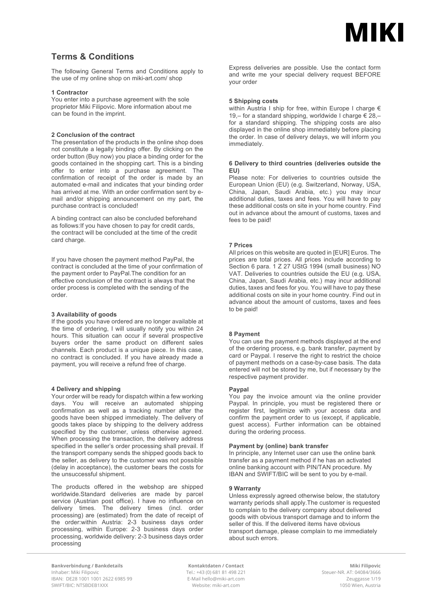

# **Terms & Conditions**

The following General Terms and Conditions apply to the use of my online shop on miki-art.com/ shop

# **1 Contractor**

You enter into a purchase agreement with the sole proprietor Miki Filipovic. More information about me can be found in the imprint.

# **2 Conclusion of the contract**

The presentation of the products in the online shop does not constitute a legally binding offer. By clicking on the order button (Buy now) you place a binding order for the goods contained in the shopping cart. This is a binding offer to enter into a purchase agreement. The confirmation of receipt of the order is made by an automated e-mail and indicates that your binding order has arrived at me. With an order confirmation sent by email and/or shipping announcement on my part, the purchase contract is concluded!

A binding contract can also be concluded beforehand as follows:If you have chosen to pay for credit cards, the contract will be concluded at the time of the credit card charge.

If you have chosen the payment method PayPal, the contract is concluded at the time of your confirmation of the payment order to PayPal.The condition for an effective conclusion of the contract is always that the order process is completed with the sending of the order.

#### **3 Availability of goods**

If the goods you have ordered are no longer available at the time of ordering, I will usually notify you within 24 hours. This situation can occur if several prospective buyers order the same product on different sales channels. Each product is a unique piece. In this case, no contract is concluded. If you have already made a payment, you will receive a refund free of charge.

## **4 Delivery and shipping**

Your order will be ready for dispatch within a few working days. You will receive an automated shipping confirmation as well as a tracking number after the goods have been shipped immediately. The delivery of goods takes place by shipping to the delivery address specified by the customer, unless otherwise agreed. When processing the transaction, the delivery address specified in the seller's order processing shall prevail. If the transport company sends the shipped goods back to the seller, as delivery to the customer was not possible (delay in acceptance), the customer bears the costs for the unsuccessful shipment.

The products offered in the webshop are shipped worldwide.Standard deliveries are made by parcel service (Austrian post office). I have no influence on delivery times. The delivery times (incl. order processing) are (estimated) from the date of receipt of the order:within Austria: 2-3 business days order processing, within Europe: 2-3 business days order processing, worldwide delivery: 2-3 business days order processing

Express deliveries are possible. Use the contact form and write me your special delivery request BEFORE your order

#### **5 Shipping costs**

within Austria I ship for free, within Europe I charge  $\epsilon$ 19,– for a standard shipping, worldwide I charge  $\epsilon$  28,– for a standard shipping. The shipping costs are also displayed in the online shop immediately before placing the order. In case of delivery delays, we will inform you immediately.

# **6 Delivery to third countries (deliveries outside the EU)**

Please note: For deliveries to countries outside the European Union (EU) (e.g. Switzerland, Norway, USA, China, Japan, Saudi Arabia, etc.) you may incur additional duties, taxes and fees. You will have to pay these additional costs on site in your home country. Find out in advance about the amount of customs, taxes and fees to be paid!

# **7 Prices**

All prices on this website are quoted in [EUR] Euros. The prices are total prices. All prices include according to Section 6 para. 1 Z 27 UStG 1994 (small business) NO VAT. Deliveries to countries outside the EU (e.g. USA, China, Japan, Saudi Arabia, etc.) may incur additional duties, taxes and fees for you. You will have to pay these additional costs on site in your home country. Find out in advance about the amount of customs, taxes and fees to be paid!

# **8 Payment**

You can use the payment methods displayed at the end of the ordering process, e.g. bank transfer, payment by card or Paypal. I reserve the right to restrict the choice of payment methods on a case-by-case basis. The data entered will not be stored by me, but if necessary by the respective payment provider.

#### **Paypal**

You pay the invoice amount via the online provider Paypal. In principle, you must be registered there or register first, legitimize with your access data and confirm the payment order to us (except, if applicable, guest access). Further information can be obtained during the ordering process.

#### **Payment by (online) bank transfer**

In principle, any Internet user can use the online bank transfer as a payment method if he has an activated online banking account with PIN/TAN procedure. My IBAN and SWIFT/BIC will be sent to you by e-mail.

#### **9 Warranty**

Unless expressly agreed otherwise below, the statutory warranty periods shall apply.The customer is requested to complain to the delivery company about delivered goods with obvious transport damage and to inform the seller of this. If the delivered items have obvious transport damage, please complain to me immediately about such errors.

**Bankverbindung / Bankdetails Kontaktdaten / Contact Miki Filipovic** Inhaber: Miki Filipovic<br>IBAN: DE28 1001 1001 2622 6985 99 Tel.: +43 (0) 681 81 498 221 Steuer-NR. AT: 04084/3666<br>E-Mail hello@miki-art.com E-mail tello@miki-art.com Zeuggasse 1/19 IBAN: DE28 1001 1001 2622 6985 99 E-Mail hello@miki-art.com Zeuggasse 1/19 SWIFT/BIC: NTSBDEB1XXX